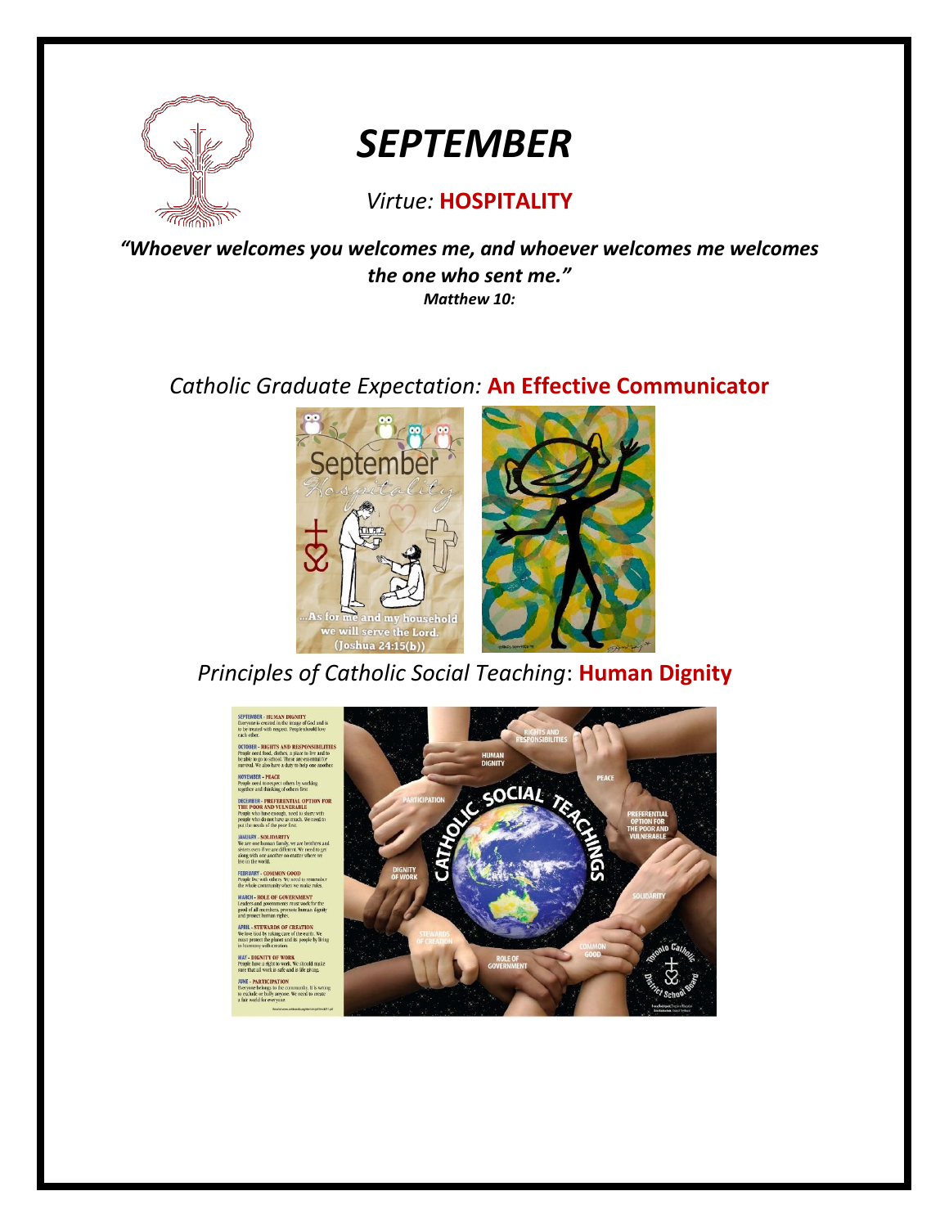

# *SEPTEMBER*

### *Virtue:* **HOSPITALITY**

*"Whoever welcomes you welcomes me, and whoever welcomes me welcomes the one who sent me." Matthew 10:*

### *Catholic Graduate Expectation:* **An Effective Communicator**



*Principles of Catholic Social Teaching*: **Human Dignity**

**EPTEMBER - HUMAN DIGNITY**<br>Neryone is created in the image of God and is **SAND RI** eed tood, clothes, a p<br>to go to school. These<br>We also have a duty

**RCH - ROLE OF GOVERNMENT** 

bers, prot **PRIL - STEWARDS OF CREATION**<br>In love God by taking care of the earth taking care of the earth<br>te planet and its people<br>th creation.